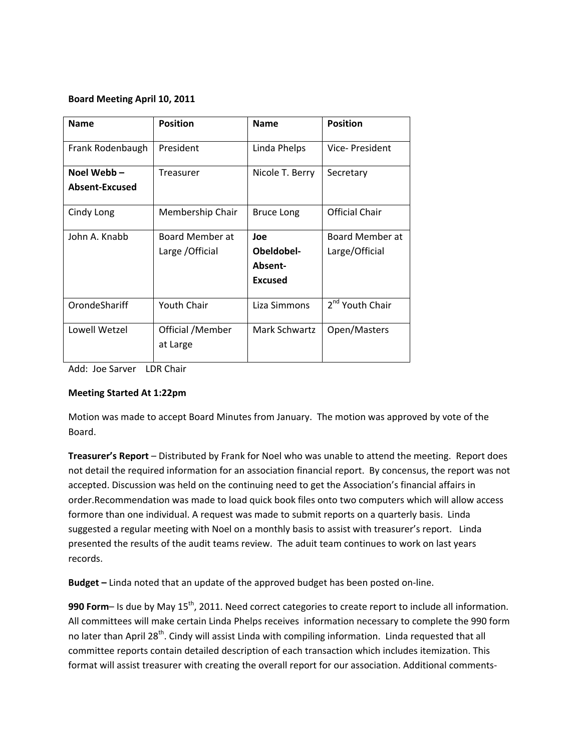## **Board Meeting April 10, 2011**

| <b>Name</b>                   | <b>Position</b>                     | <b>Name</b>                                    | <b>Position</b>                   |
|-------------------------------|-------------------------------------|------------------------------------------------|-----------------------------------|
| Frank Rodenbaugh              | President                           | Linda Phelps                                   | Vice-President                    |
| Noel Webb –<br>Absent-Excused | Treasurer                           | Nicole T. Berry                                | Secretary                         |
| Cindy Long                    | Membership Chair                    | <b>Bruce Long</b>                              | <b>Official Chair</b>             |
| John A. Knabb                 | Board Member at<br>Large / Official | Joe<br>Obeldobel-<br>Absent-<br><b>Excused</b> | Board Member at<br>Large/Official |
| OrondeShariff                 | <b>Youth Chair</b>                  | Liza Simmons                                   | 2 <sup>nd</sup> Youth Chair       |
| Lowell Wetzel                 | Official /Member<br>at Large        | Mark Schwartz                                  | Open/Masters                      |

Add: Joe Sarver LDR Chair

## **Meeting Started At 1:22pm**

Motion was made to accept Board Minutes from January. The motion was approved by vote of the Board.

**Treasurer's Report** – Distributed by Frank for Noel who was unable to attend the meeting. Report does not detail the required information for an association financial report. By concensus, the report was not accepted. Discussion was held on the continuing need to get the Association's financial affairs in order.Recommendation was made to load quick book files onto two computers which will allow access formore than one individual. A request was made to submit reports on a quarterly basis. Linda suggested a regular meeting with Noel on a monthly basis to assist with treasurer's report. Linda presented the results of the audit teams review. The aduit team continues to work on last years records.

**Budget –** Linda noted that an update of the approved budget has been posted on‐line.

990 **Form**– Is due by May 15<sup>th</sup>, 2011. Need correct categories to create report to include all information. All committees will make certain Linda Phelps receives information necessary to complete the 990 form no later than April 28<sup>th</sup>. Cindy will assist Linda with compiling information. Linda requested that all committee reports contain detailed description of each transaction which includes itemization. This format will assist treasurer with creating the overall report for our association. Additional comments‐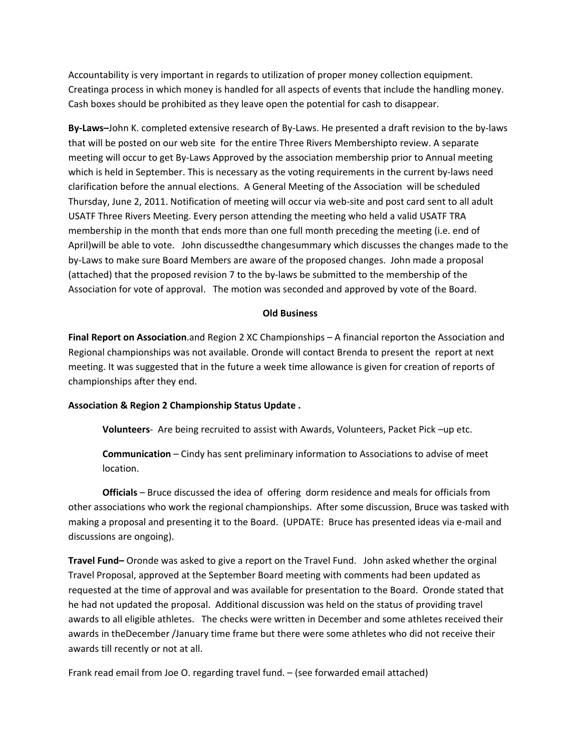Accountability is very important in regards to utilization of proper money collection equipment. Creatinga process in which money is handled for all aspects of events that include the handling money. Cash boxes should be prohibited as they leave open the potential for cash to disappear.

**By‐Laws–**John K. completed extensive research of By‐Laws. He presented a draft revision to the by‐laws that will be posted on our web site for the entire Three Rivers Membershipto review. A separate meeting will occur to get By-Laws Approved by the association membership prior to Annual meeting which is held in September. This is necessary as the voting requirements in the current by-laws need clarification before the annual elections. A General Meeting of the Association will be scheduled Thursday, June 2, 2011. Notification of meeting will occur via web‐site and post card sent to all adult USATF Three Rivers Meeting. Every person attending the meeting who held a valid USATF TRA membership in the month that ends more than one full month preceding the meeting (i.e. end of April)will be able to vote. John discussedthe changesummary which discusses the changes made to the by‐Laws to make sure Board Members are aware of the proposed changes. John made a proposal (attached) that the proposed revision 7 to the by‐laws be submitted to the membership of the Association for vote of approval. The motion was seconded and approved by vote of the Board.

#### **Old Business**

**Final Report on Association**.and Region 2 XC Championships – A financial reporton the Association and Regional championships was not available. Oronde will contact Brenda to present the report at next meeting. It was suggested that in the future a week time allowance is given for creation of reports of championships after they end.

## **Association & Region 2 Championship Status Update .**

**Volunteers**‐ Are being recruited to assist with Awards, Volunteers, Packet Pick –up etc.

**Communication** – Cindy has sent preliminary information to Associations to advise of meet location.

**Officials** – Bruce discussed the idea of offering dorm residence and meals for officials from other associations who work the regional championships. After some discussion, Bruce was tasked with making a proposal and presenting it to the Board. (UPDATE: Bruce has presented ideas via e‐mail and discussions are ongoing).

**Travel Fund–** Oronde was asked to give a report on the Travel Fund. John asked whether the orginal Travel Proposal, approved at the September Board meeting with comments had been updated as requested at the time of approval and was available for presentation to the Board. Oronde stated that he had not updated the proposal. Additional discussion was held on the status of providing travel awards to all eligible athletes. The checks were written in December and some athletes received their awards in theDecember /January time frame but there were some athletes who did not receive their awards till recently or not at all.

Frank read email from Joe O. regarding travel fund. – (see forwarded email attached)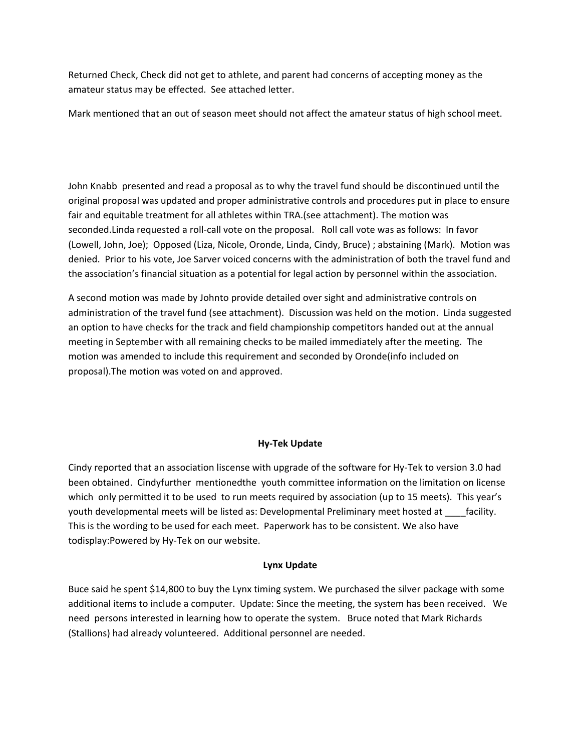Returned Check, Check did not get to athlete, and parent had concerns of accepting money as the amateur status may be effected. See attached letter.

Mark mentioned that an out of season meet should not affect the amateur status of high school meet.

John Knabb presented and read a proposal as to why the travel fund should be discontinued until the original proposal was updated and proper administrative controls and procedures put in place to ensure fair and equitable treatment for all athletes within TRA.(see attachment). The motion was seconded.Linda requested a roll-call vote on the proposal. Roll call vote was as follows: In favor (Lowell, John, Joe); Opposed (Liza, Nicole, Oronde, Linda, Cindy, Bruce) ; abstaining (Mark). Motion was denied. Prior to his vote, Joe Sarver voiced concerns with the administration of both the travel fund and the association's financial situation as a potential for legal action by personnel within the association.

A second motion was made by Johnto provide detailed over sight and administrative controls on administration of the travel fund (see attachment). Discussion was held on the motion. Linda suggested an option to have checks for the track and field championship competitors handed out at the annual meeting in September with all remaining checks to be mailed immediately after the meeting. The motion was amended to include this requirement and seconded by Oronde(info included on proposal).The motion was voted on and approved.

# **Hy‐Tek Update**

Cindy reported that an association liscense with upgrade of the software for Hy‐Tek to version 3.0 had been obtained. Cindyfurther mentionedthe youth committee information on the limitation on license which only permitted it to be used to run meets required by association (up to 15 meets). This year's youth developmental meets will be listed as: Developmental Preliminary meet hosted at \_\_\_\_facility. This is the wording to be used for each meet. Paperwork has to be consistent. We also have todisplay:Powered by Hy‐Tek on our website.

## **Lynx Update**

Buce said he spent \$14,800 to buy the Lynx timing system. We purchased the silver package with some additional items to include a computer. Update: Since the meeting, the system has been received. We need persons interested in learning how to operate the system. Bruce noted that Mark Richards (Stallions) had already volunteered. Additional personnel are needed.